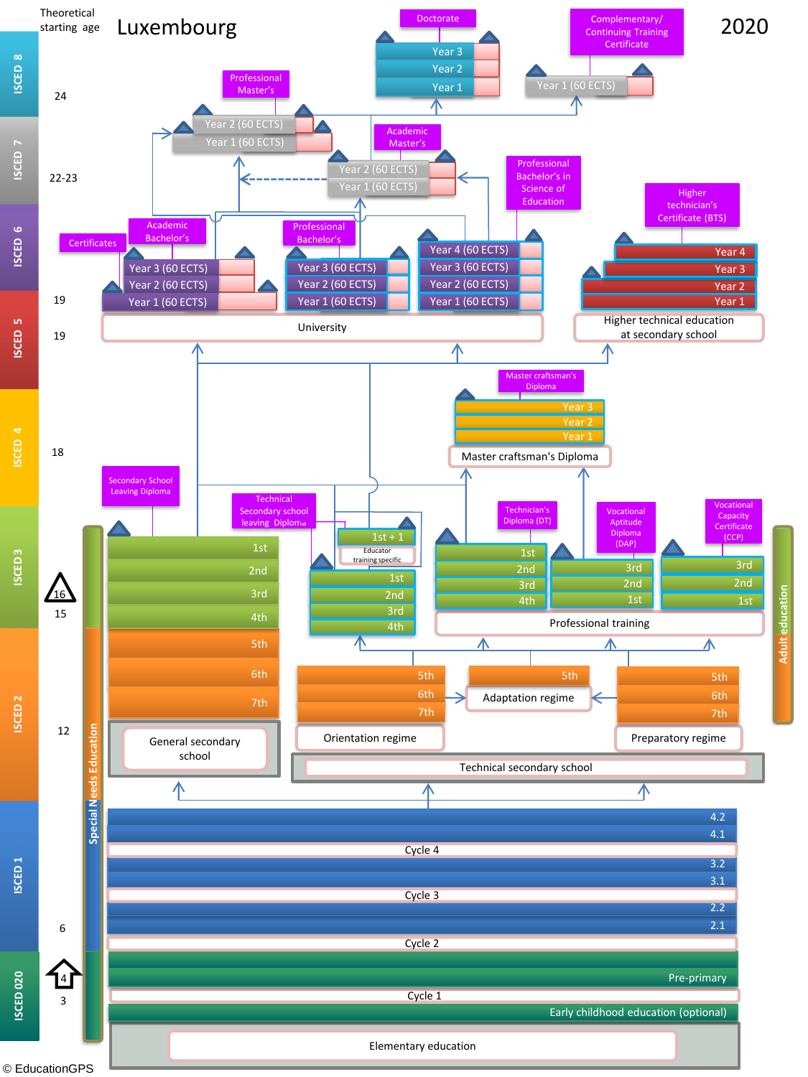

**Adult education**

**Adult education** 

[© EducationGPS](http://gpseducation.oecd.org/)